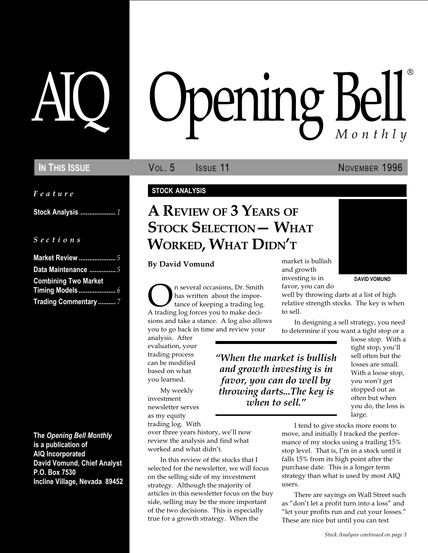Feature

Stock Analysis .................... 1

S e c t i o n s

| <b>Market Review </b> 5     |
|-----------------------------|
| Data Maintenance  5         |
| <b>Combining Two Market</b> |
|                             |
| Trading Commentary  7       |

The Opening Bell Monthly is a publication of AIQ Incorporated David Vomund, Chief Analyst P.O. Box 7530 Incline Village, Nevada 89452

# pening Bell ®

In This Issue **Vol. 5 ISSUE** 11 **NOVEMBER 1996** 

#### STOCK ANALYSIS

## A REVIEW OF 3 YEARS OF **STOCK SELECTION - WHAT** WORKED, WHAT DIDN'T

By David Vomund

On several occasions, Dr. Smith A trading log forces you to make decihas written about the importance of keeping a trading log. sions and take a stance. A log also allows you to go back in time and review your

analysis. After evaluation, your trading process can be modified based on what you learned.

My weekly investment newsletter serves as my equity trading log. With

over three years history, we'll now review the analysis and find what worked and what didn't.

In this review of the stocks that I selected for the newsletter, we will focus on the selling side of my investment strategy. Although the majority of articles in this newsletter focus on the buy side, selling may be the more important of the two decisions. This is especially true for a growth strategy. When the

market is bullish and growth investing is in favor, you can do



DAVID VOMUND

well by throwing darts at a list of high relative strength stocks. The key is when to sell.

In designing a sell strategy, you need to determine if you want a tight stop or a

When the market is bullish and growth investing is in favor, you can do well by throwing darts...The key is when to sell."

loose stop. With a tight stop, you'll sell often but the losses are small. With a loose stop, you won't get stopped out as often but when you do, the loss is large.

I tend to give stocks more room to move, and initially I tracked the performance of my stocks using a trailing 15% stop level. That is, I'm in a stock until it falls 15% from its high point after the purchase date. This is a longer term strategy than what is used by most AIQ users.

There are sayings on Wall Street such as "don't let a profit turn into a loss" and "let your profits run and cut your losses." These are nice but until you can test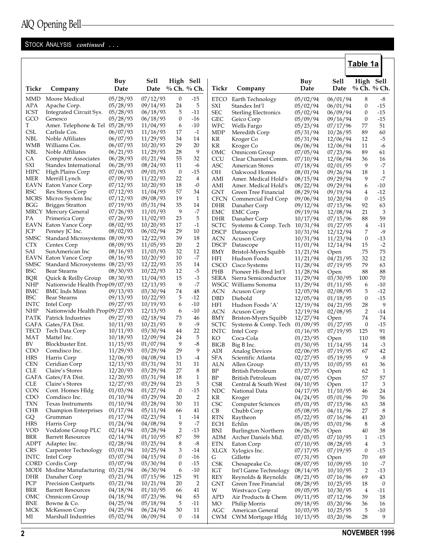## STOCK ANALYSIS continued ...

|                          |                                                |                      |                      |                        |                      |                            |                                         |                      |                      | Table 1a               |                         |
|--------------------------|------------------------------------------------|----------------------|----------------------|------------------------|----------------------|----------------------------|-----------------------------------------|----------------------|----------------------|------------------------|-------------------------|
|                          |                                                | Buy                  | <b>Sell</b>          | High Sell              |                      |                            |                                         | Buy                  | Sell                 | High Sell              |                         |
| Tickr                    | Company                                        | Date                 | Date                 |                        | % Ch. % Ch.          | Tickr                      | Company                                 | Date                 | Date                 | % Ch. % Ch.            |                         |
| <b>MMD</b>               | Moore Medical                                  | 05/28/93             | 07/12/93             | $\bf{0}$               | $-15$                | <b>ETCO</b>                | Earth Technology                        | 05/02/94             | 06/01/94             | 8                      | -8                      |
| APA                      | Apache Corp.                                   | 05/28/93             | 09/14/93             | 24                     | 5                    | SXI                        | Standex Int'l                           | 05/02/94             | 06/01/94             | $\bf{0}$               | $-15$                   |
| <b>ICST</b><br>GCO       | Integrated Circuit Sys.                        | 05/28/93             | 06/18/93             | 5                      | -11                  | SEC                        | <b>Sterling Electronics</b>             | 05/02/94             | 06/09/94             | $\mathbf{0}$           | -15                     |
| T                        | Genesco<br>Amer. Telephone & Tel 05/28/93      | 05/28/93             | 06/18/93<br>11/04/93 | $\bf{0}$<br>6          | -16<br>-10           | GEC<br>WFC                 | Geico Corp<br>Wells Fargo               | 05/09/94<br>05/23/94 | 09/16/94<br>07/17/96 | $\boldsymbol{0}$<br>77 | $-15$<br>51             |
| <b>CSL</b>               | Carlisle Cos.                                  | 06/07/93             | 11/16/93             | 17                     | $-1$                 | MDP                        | Meredith Corp                           | 05/31/94             | 10/26/95             | 89                     | 60                      |
| <b>NBL</b>               | Noble Affiliates                               | 06/07/93             | 11/29/93             | 34                     | 14                   | KR                         | Kroger Co                               | 05/31/94             | 12/06/94             | 12                     | $-5$                    |
| <b>WMB</b>               | Williams Cos.                                  | 06/07/93             | 10/20/93             | 29                     | 20                   | KR                         | Kroger Co                               | 06/06/94             | 12/06/94             | 11                     | -6                      |
| <b>NBL</b>               | Noble Affiliates                               | 06/21/93             | 11/29/93             | 28                     | 9                    | OMC                        | Omnicom Group                           | 07/05/94             | 07/23/96             | 89                     | 61                      |
| CA                       | Computer Associates                            | 06/28/93             | 01/21/94             | 55                     | 32                   | <b>CCU</b>                 | Clear Channel Comm.                     | 07/10/94             | 12/06/94             | 36                     | 16                      |
| SXI<br><b>HIPC</b>       | Standex International<br>High Plains Corp      | 06/28/93<br>07/06/93 | 08/24/93<br>09/01/93 | 11<br>$\boldsymbol{0}$ | -6<br>-15            | <b>ASC</b><br>ОH           | <b>American Stores</b><br>Oakwood Homes | 07/18/94<br>08/01/94 | 02/01/95<br>09/26/94 | 9<br>18                | $-7$<br>$\mathbf{1}$    |
| <b>MER</b>               | Merrill Lynch                                  | 07/09/93             | 11/22/93             | 22                     | 4                    | AMI                        | Amer. Medical Hold's                    | 08/15/94             | 09/29/94             | 9                      | $-7$                    |
|                          | <b>EAVN</b> Eaton Vance Corp                   | 07/12/93             | 10/20/93             | 18                     | $-0$                 | AMI                        | Amer. Medical Hold's                    | 08/22/94             | 09/29/94             | 6                      | $-10$                   |
| <b>RSC</b>               | Rex Stores Corp                                | 07/12/93             | 11/04/93             | 57                     | 34                   | <b>GNT</b>                 | Green Tree Financial                    | 08/29/94             | 09/19/94             | 4                      | $-12$                   |
| <b>MCRS</b>              | Micros System Inc                              | 07/12/93             | 09/08/93             | 19                     | 1                    | <b>CFCN</b>                | Commercial Fed Corp                     | 09/06/94             | 10/20/94             | $\boldsymbol{0}$       | $-15$                   |
| <b>BGG</b>               | <b>Brigges Stratton</b>                        | 07/19/93             | 05/31/94             | 35                     | 14                   | <b>DHR</b>                 | Danaher Corp                            | 09/12/94             | 07/15/96             | 92                     | 63                      |
|                          | <b>MRCY</b> Mercury General                    | 07/26/93             | 11/01/93             | 9                      | -7                   | EMC                        | <b>EMC</b> Corp                         | 09/19/94             | 12/08/94             | 21                     | 3                       |
| PA                       | Primerica Corp                                 | 07/26/93             | 11/02/93             | 23                     | 5                    | <b>DHR</b>                 | Danaher Corp                            | 10/17/94             | 07/15/96             | 88                     | 59                      |
| <b>JCP</b>               | <b>EAVN</b> Eaton Vance Corp<br>Penney JC Inc. | 08/02/93<br>08/02/93 | 10/20/93<br>06/02/94 | 17<br>29               | $-1$<br>10           | <b>SCTC</b><br><b>DSCP</b> | Systems & Comp. Tech 10/31/94           |                      | 01/27/95             | 4                      | $-11$<br>$-9$           |
| <b>SMSC</b>              | Standard Microsystems 08/09/93                 |                      | 12/22/93             | 39                     | 18                   | <b>ACN</b>                 | Datascope<br>Acuson Corp                | 10/31/94<br>10/31/94 | 12/12/94<br>11/23/94 | 7<br>$\mathbf{0}$      | $-13$                   |
| <b>CTX</b>               | Centex Corp                                    | 08/09/93             | 11/05/93             | 20                     | $\overline{2}$       | <b>DSCP</b>                | Datascope                               | 11/01/94             | 12/14/94             | 15                     | $-2$                    |
| SAI                      | SunAmerican Inc                                | 08/16/93             | 11/03/93             | 32                     | 12                   | <b>BMY</b>                 | Bristol-Myers Squibb                    | 11/21/94             | Open                 | 75                     | 75                      |
|                          | <b>EAVN</b> Eaton Vance Corp                   | 08/16/93             | 10/20/93             | 10                     | -7                   | <b>HFI</b>                 | Hudson Foods                            | 11/21/94             | 04/21/95             | 32                     | 12                      |
| SMSC                     | Standard Microsystems 08/23/93                 |                      | 12/22/93             | 35                     | 14                   | <b>CSCO</b>                | Cisco Systems                           | 11/28/94             | 07/19/95             | 79                     | 63                      |
| <b>BSC</b>               | Bear Stearns                                   | 08/30/93             | 10/22/93             | 12                     | $-5$                 | PHB                        | Pioneer Hi-Bred Int'l                   | 11/28/94             | Open                 | 88                     | 88                      |
| <b>BQR</b>               | Quick & Reilly Group                           | 08/30/93             | 11/04/93             | 15                     | $-3$                 | SERA                       | Sierra Semiconductor                    | 11/29/94             | 03/30/95             | 100                    | 70                      |
| <b>NHP</b>               | Nationwide Health Prop09/07/93                 |                      | 12/13/93             | 9                      | -7                   |                            | WSGC Williams Sonoma                    | 11/29/94             | 01/11/95             | 6                      | $-10$                   |
| <b>BMC</b><br><b>BSC</b> | BMC Inds Minn<br><b>Bear Stearns</b>           | 09/13/93<br>09/13/93 | 03/30/94<br>10/22/93 | 74<br>5                | 48<br>$-12$          | <b>ACN</b><br><b>DBD</b>   | Acuson Corp<br>Diebold                  | 12/05/94             | 02/08/95             | 5<br>$\boldsymbol{0}$  | $-12$<br>$-15$          |
| <b>INTC</b>              | Intel Corp                                     | 09/27/93             | 10/19/93             | 6                      | $-10$                | <b>HFI</b>                 | Hudson Foods 'A'                        | 12/05/94<br>12/19/94 | 01/18/95<br>04/21/95 | 28                     | 9                       |
| <b>NHP</b>               | Nationwide Health Prop09/27/93                 |                      | 12/13/93             | 6                      | $-10$                | <b>ACN</b>                 | Acuson Corp                             | 12/19/94             | 02/08/95             | 2                      | $-14$                   |
|                          | PATK Patrick Industries                        | 09/27/93             | 02/18/94             | 73                     | 46                   | <b>BMY</b>                 | Briston-Myers Squibb                    | 12/27/94             | Open                 | 74                     | 74                      |
| GAFA                     | Gates/FA Dist.                                 | 10/11/93             | 10/21/93             | 9                      | -9                   | SCTC                       | Systems & Comp. Tech 01/09/95           |                      | 01/27/95             | $\bf{0}$               | $-15$                   |
| TECD                     | Tech Data Corp                                 | 10/11/93             | 03/30/94             | 44                     | 22                   | <b>INTC</b>                | Intel Corp                              | 01/16/95             | 07/19/95             | 125                    | 91                      |
| MAT                      | Mattel Inc.                                    | 10/18/93             | 12/09/94             | 24                     | 5                    | KO                         | Coca-Cola                               | 01/23/95             | Open                 | 110                    | 98                      |
| BV                       | Blockbuster Ent.                               | 11/15/93             | 01/07/94             | 9                      | $-8$                 | <b>BIGB</b>                | Big B Inc.                              | 01/30/95             | 11/14/95             | 14                     | $-3$                    |
| CDO<br><b>HRS</b>        | Comdisco Inc.<br>Harris Corp                   | 11/29/93<br>12/06/93 | 03/29/94<br>04/08/94 | 29<br>13               | 9<br>$-4$            | ADI<br><b>SFA</b>          | <b>Analog Devices</b>                   | 02/06/95             | 07/19/95             | 67<br>9                | 42<br>$-8$              |
| <b>CEN</b>               | Ceridian Corp                                  | 12/13/93             | 03/31/94             | 31                     | 11                   | ALN                        | Scientific Atlanta<br>Allen Group       | 02/27/95<br>03/13/95 | 05/19/95<br>10/05/95 | 61                     | 36                      |
| <b>CLE</b>               | Claire's Stores                                | 12/20/93             | 03/29/94             | 27                     | 8                    | BP                         | British Petroleum                       | 03/27/95             | Open                 | 62                     | 1                       |
|                          | GAFA Gates/FA Dist.                            | 12/20/93             | 03/31/94             | 18                     | $\mathbf{1}$         | BP                         | <b>British Petroleum</b>                | 04/07/95             | Open                 | 57                     | 57                      |
| CLE                      | Claire's Stores                                | 12/27/93             | 03/29/94             | 23                     | 5                    | <b>CSR</b>                 | Central & South West                    | 04/10/95             | Open                 | 17                     | 3                       |
| <b>CON</b>               | Cont. Homes Hldg                               | 01/03/94             | 01/27/94             | $\boldsymbol{0}$       | $-15$                | <b>NDC</b>                 | National Data                           | 04/17/95             | 11/10/95             | 46                     | 24                      |
| CDO                      | Comdisco Inc.                                  | 01/10/94             | 03/29/94             | 20                     | 2                    | KR                         | Kroger                                  | 04/24/95             | 05/01/96             | 70                     | 56                      |
| <b>TXN</b>               | Texas Instruments                              | 01/10/94             | 03/28/94             | 30                     | 11                   | <b>CSC</b>                 | <b>Computer Sciences</b>                | 05/01/95             | 07/15/96             | 63                     | 38                      |
| <b>CHB</b>               | <b>Champion Enterprises</b><br>Grumman         | 01/17/94<br>01/17/94 | 05/11/94<br>02/23/94 | 66<br>$\mathbf{1}$     | 41<br>-14            | CВ<br><b>RTN</b>           | Chubb Corp                              | 05/08/95             | 04/11/96             | 27                     | 8<br>20                 |
| GQ<br><b>HRS</b>         | Harris Corp                                    | 01/24/94             | 04/08/94             | 9                      | -7                   | <b>ECH</b>                 | Raytheon<br>Echlin                      | 05/22/95<br>06/05/95 | 07/16/96<br>03/01/96 | 41<br>8                | $-8$                    |
| <b>VOD</b>               | Vodafone Group PLC                             | 02/14/94             | 03/28/94             | $\overline{2}$         | -13                  | BNI                        | Burlington Northern                     | 06/26/95             | Open                 | 40                     | 38                      |
| <b>BRR</b>               | <b>Barrett Resources</b>                       | 02/14/94             | 01/10/95             | 87                     | 59                   | ADM                        | Archer Daniels Mid.                     | 07/03/95             | 07/10/95             | 1                      | -15                     |
| <b>ADPT</b>              | Adaptec Inc.                                   | 02/28/94             | 03/25/94             | 8                      | $-8$                 | ETN                        | Eaton Corp                              | 07/10/95             | 08/28/95             | 4                      | 3                       |
| <b>CRS</b>               | Carpenter Technology                           | 03/01/94             | 10/25/94             | 3                      | -14                  | XLGX                       | Xylogics Inc.                           | 07/17/95             | 07/19/95             | $\bf{0}$               | $-15$                   |
| <b>INTC</b>              | Intel Corp                                     | 03/07/94             | 04/15/94             | $\boldsymbol{0}$       | -16                  | G                          | Gillette                                | 07/31/95             | Open                 | 70                     | 69                      |
|                          | CORD Cordis Corp                               | 03/07/94             | 03/30/94             | $\boldsymbol{0}$       | -15                  | CSK                        | Chesapeake Co.                          | 08/07/95             | 10/09/95             | 10                     | -7                      |
| MODI                     | Modine Manufacturing                           | 03/21/94             | 06/30/94             | 6                      | -10                  | IGT                        | Int'l Game Technology                   | 08/14/95             | 10/10/95             | $\overline{2}$         | $-13$                   |
| <b>DHR</b><br>PCP        | Danaher Corp<br><b>Precision Castparts</b>     | 03/21/94<br>03/21/94 | 07/15/96<br>10/21/94 | 125<br>20              | 91<br>$\overline{2}$ | <b>REY</b>                 | Reynolds & Reynolds                     | 08/21/95             | 07/16/96             | 69                     | 43                      |
| <b>BRR</b>               | <b>Barrett Resources</b>                       | 04/18/94             | 01/10/95             | 66                     | 41                   | GNT<br>W                   | Green Tree Financial<br>Westvaco Corp   | 08/28/95<br>09/05/95 | 10/25/95<br>10/30/95 | 18<br>$\overline{4}$   | $\boldsymbol{0}$<br>-11 |
| OMC                      | Omnicom Group                                  | 04/18/94             | 07/23/96             | 94                     | 65                   | <b>APD</b>                 | Air Products & Chem                     | 09/11/95             | 07/12/96             | 39                     | 18                      |
| <b>BNE</b>               | Bowne & Co.                                    | 04/25/94             | 05/18/94             | 5                      | -11                  | MO                         | Philip Morris                           | 09/18/95             | 03/20/96             | 36                     | 16                      |
| MCK                      | McKesson Corp                                  | 04/25/94             | 06/24/94             | 30                     | 11                   | AGC                        | American General                        | 10/03/95             | 10/25/95             | 5                      | $-10$                   |
| МI                       | Marshall Industries                            | 05/02/94             | 06/09/94             | $\bf{0}$               | -14                  | CWM                        | CWM Mortgage Hldg                       | 10/13/95             | 03/20/96             | 28                     | 9                       |

 $\overline{1}$ 

ኑ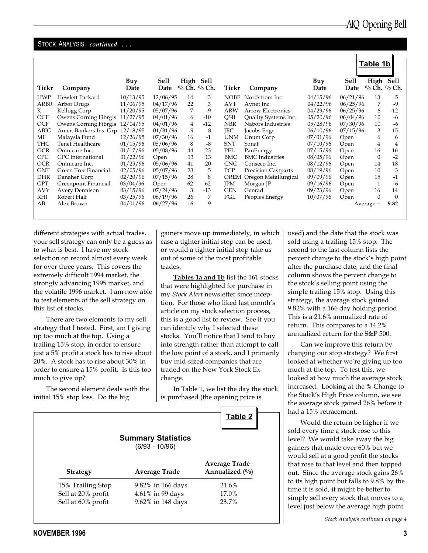$\Gamma$ 

#### STOCK ANALYSIS continued ...

|             |                        |             |              |           |             |             |                            |             |              | Table 1b  |             |
|-------------|------------------------|-------------|--------------|-----------|-------------|-------------|----------------------------|-------------|--------------|-----------|-------------|
| Tickr       | Company                | Buy<br>Date | Sell<br>Date | High Sell | % Ch. % Ch. | Tickr       | Company                    | Buy<br>Date | Sell<br>Date | High Sell | % Ch. % Ch. |
| <b>HWP</b>  | Hewlett Packard        | 10/13/95    | 12/06/95     | 14        | $-3$        | <b>NOBE</b> | Nordstrom Inc.             | 04/15/96    | 06/21/96     | 13        | $-5$        |
| ARBR        | Arbor Drugs            | 11/06/95    | 04/17/96     | 22        | 3           | <b>AVT</b>  | Avnet Inc.                 | 04/22/96    | 06/25/96     | 7         | $-9$        |
| K           | Kellogg Corp           | 11/20/95    | 05/07/96     | 7         | $-9$        | <b>ARW</b>  | <b>Arrow Electronics</b>   | 04/29/96    | 06/25/96     | 6         | $-12$       |
| OCF         | Owens Corning Fibrgls  | 11/27/95    | 04/01/96     | 6         | $-10$       | QSII        | Quality Systems Inc.       | 05/20/96    | 06/04/96     | 10        | $-6$        |
| OCF         | Owens Corning Fibrgls  | 12/04/95    | 04/01/96     | 4         | $-12$       | <b>NBR</b>  | Nabors Industries          | 05/28/96    | 07/30/96     | 10        | -6          |
| <b>ABIG</b> | Amer. Bankers Ins. Grp | 12/18/95    | 01/31/96     | 9         | $-8$        | <b>IEC</b>  | Jacobs Engr.               | 06/10/96    | 07/15/96     | 3         | $-15$       |
| MF          | Malaysia Fund          | 12/26/95    | 07/30/96     | 16        | $-1$        | <b>UNM</b>  | Unum Corp                  | 07/01/96    | Open         | 6         | 6           |
| THC         | Tenet Healthcare       | 01/15/96    | 05/06/96     | 8         | $-8$        | <b>SNT</b>  | Sonat                      | 07/10/96    | Open         | 4         | 4           |
| OCR         | Omnicare Inc.          | 01/17/96    | 05/08/96     | 44        | 23          | <b>PEL</b>  | PanEnergy                  | 07/15/96    | Open         | 16        | 16          |
| <b>CPC</b>  | CPC International      | 01/22/96    | Open         | 13        | 13          | BMC         | <b>BMC</b> Industries      | 08/05/96    | Open         | $\Omega$  | $-2$        |
| <b>OCR</b>  | Omnicare Inc.          | 01/29/96    | 05/06/96     | 41        | 20          | <b>CNC</b>  | Conseco Inc.               | 08/12/96    | Open         | 14        | 18          |
| GNT         | Green Tree Financial   | 02/05/96    | 05/07/96     | 23        | 5           | PCP         | <b>Precision Castparts</b> | 08/19/96    | Open         | 10        | 3           |
| <b>DHR</b>  | Danaher Corp           | 02/20/96    | 07/15/96     | 28        | 8           | OREM        | Oregon Metallurgical       | 09/09/96    | Open         | 15        | $-1$        |
| <b>GPT</b>  | Greenpoint Financial   | 03/04/96    | Open         | 62        | 62          | <b>IPM</b>  | Morgan JP                  | 09/16/96    | Open         | 1         | -6          |
| <b>AVY</b>  | <b>Avery Dennison</b>  | 03/15/96    | 07/24/96     | 3         | $-13$       | <b>GEN</b>  | Genrad                     | 09/23/96    | Open         | 16        | 14          |
| RHI         | Robert Half            | 03/25/96    | 06/19/96     | 26        | 7           | PGL         | Peoples Energy             | 10/07/96    | Open         | $\Omega$  | $\Omega$    |
| AB          | Alex Brown             | 04/01/96    | 06/27/96     | 16        | 9           |             |                            |             |              | Average = | 9.82        |
|             |                        |             |              |           |             |             |                            |             |              |           |             |

different strategies with actual trades, your sell strategy can only be a guess as to what is best. I have my stock selection on record almost every week for over three years. This covers the extremely difficult 1994 market, the strongly advancing 1995 market, and the volatile 1996 market. I am now able to test elements of the sell strategy on this list of stocks.

There are two elements to my sell strategy that I tested. First, am I giving up too much at the top. Using a trailing 15% stop, in order to ensure just a 5% profit a stock has to rise about 20%. A stock has to rise about 30% in order to ensure a 15% profit. Is this too much to give up?

The second element deals with the initial 15% stop loss. Do the big

gainers move up immediately, in which case a tighter initial stop can be used, or would a tighter initial stop take us out of some of the most profitable trades.

Tables 1a and 1b list the 161 stocks that were highlighted for purchase in my Stock Alert newsletter since inception. For those who liked last month's article on my stock selection process, this is a good list to review. See if you can identify why I selected these stocks. You'll notice that I tend to buy into strength rather than attempt to call the low point of a stock, and I primarily buy mid-sized companies that are traded on the New York Stock Exchange.

In Table 1, we list the day the stock is purchased (the opening price is

|                    | <b>Summary Statistics</b><br>$(6/93 - 10/96)$ |                                          |
|--------------------|-----------------------------------------------|------------------------------------------|
| <b>Strategy</b>    | Average Trade                                 | <b>Average Trade</b><br>Annualized $(\%$ |
| 15% Trailing Stop  | 9.82% in 166 days                             | 21.6%                                    |
| Sell at 20% profit | $4.61\%$ in 99 days                           | 17.0%                                    |
| Sell at 60% profit | 9.62% in 148 days                             | 23.7%                                    |

used) and the date that the stock was sold using a trailing 15% stop. The second to the last column lists the percent change to the stock's high point after the purchase date, and the final column shows the percent change to the stock's selling point using the simple trailing 15% stop. Using this strategy, the average stock gained 9.82% with a 166 day holding period. This is a 21.6% annualized rate of return. This compares to a 14.2% annualized return for the S&P 500.

Can we improve this return by changing our stop strategy? We first looked at whether we're giving up too much at the top. To test this, we looked at how much the average stock increased. Looking at the % Change to the Stock's High Price column, we see the average stock gained 26% before it had a 15% retracement.

Would the return be higher if we sold every time a stock rose to this level? We would take away the big gainers that made over 60% but we would sell at a good profit the stocks that rose to that level and then topped out. Since the average stock gains 26% to its high point but falls to 9.8% by the time it is sold, it might be better to simply sell every stock that moves to a level just below the average high point.

Stock Analysis continued on page 4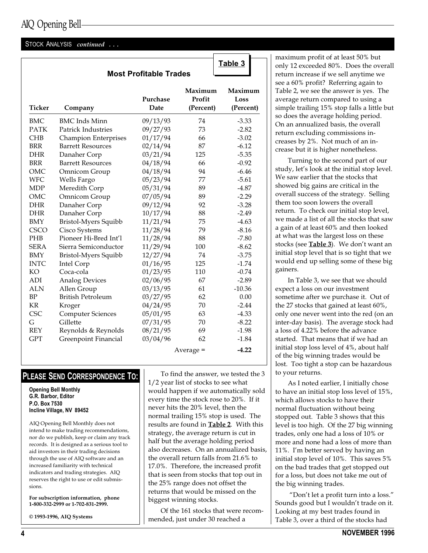## AIQ Opening Bell

#### STOCK ANALYSIS continued ...

|               |                             |                               |                                | Table 3                      |
|---------------|-----------------------------|-------------------------------|--------------------------------|------------------------------|
|               |                             | <b>Most Profitable Trades</b> |                                |                              |
| <b>Ticker</b> | Company                     | Purchase<br>Date              | Maximum<br>Profit<br>(Percent) | Maximum<br>Loss<br>(Percent) |
| <b>BMC</b>    | <b>BMC</b> Inds Minn        | 09/13/93                      | 74                             | $-3.33$                      |
| <b>PATK</b>   | <b>Patrick Industries</b>   | 09/27/93                      | 73                             | $-2.82$                      |
| <b>CHB</b>    | <b>Champion Enterprises</b> | 01/17/94                      | 66                             | $-3.02$                      |
| <b>BRR</b>    | <b>Barrett Resources</b>    | 02/14/94                      | 87                             | $-6.12$                      |
| DHR           | Danaher Corp                | 03/21/94                      | 125                            | $-5.35$                      |
| <b>BRR</b>    | <b>Barrett Resources</b>    | 04/18/94                      | 66                             | $-0.92$                      |
| OMC           | Omnicom Group               | 04/18/94                      | 94                             | $-6.46$                      |
| <b>WFC</b>    | Wells Fargo                 | 05/23/94                      | 77                             | $-5.61$                      |
| <b>MDP</b>    | Meredith Corp               | 05/31/94                      | 89                             | $-4.87$                      |
| OMC           | Omnicom Group               | 07/05/94                      | 89                             | $-2.29$                      |
| <b>DHR</b>    | Danaher Corp                | 09/12/94                      | 92                             | $-3.28$                      |
| <b>DHR</b>    | Danaher Corp                | 10/17/94                      | 88                             | $-2.49$                      |
| <b>BMY</b>    | <b>Bristol-Myers Squibb</b> | 11/21/94                      | 75                             | $-4.63$                      |
| <b>CSCO</b>   | Cisco Systems               | 11/28/94                      | 79                             | $-8.16$                      |
| <b>PHB</b>    | Pioneer Hi-Bred Int'l       | 11/28/94                      | 88                             | $-7.80$                      |
| <b>SERA</b>   | Sierra Semiconductor        | 11/29/94                      | 100                            | $-8.62$                      |
| <b>BMY</b>    | Bristol-Myers Squibb        | 12/27/94                      | 74                             | $-3.75$                      |
| <b>INTC</b>   | Intel Corp                  | 01/16/95                      | 125                            | $-1.74$                      |
| KO            | Coca-cola                   | 01/23/95                      | 110                            | $-0.74$                      |
| ADI           | <b>Analog Devices</b>       | 02/06/95                      | 67                             | $-2.89$                      |
| <b>ALN</b>    | Allen Group                 | 03/13/95                      | 61                             | $-10.36$                     |
| BP            | <b>British Petroleum</b>    | 03/27/95                      | 62                             | 0.00                         |
| <b>KR</b>     | Kroger                      | 04/24/95                      | 70                             | $-2.44$                      |
| <b>CSC</b>    | <b>Computer Sciences</b>    | 05/01/95                      | 63                             | $-4.33$                      |
| G             | Gillette                    | 07/31/95                      | 70                             | $-8.22$                      |
| <b>REY</b>    | Reynolds & Reynolds         | 08/21/95                      | 69                             | $-1.98$                      |
| <b>GPT</b>    | Greenpoint Financial        | 03/04/96                      | 62                             | $-1.84$                      |
|               |                             |                               | $Average =$                    | $-4.22$                      |

### PLEASE SEND CORRESPONDENCE TO:

Opening Bell Monthly G.R. Barbor, Editor P.O. Box 7530 Incline Village, NV 89452

AIQ Opening Bell Monthly does not intend to make trading recommendations, nor do we publish, keep or claim any track records. It is designed as a serious tool to aid investors in their trading decisions through the use of AIQ software and an increased familiarity with technical indicators and trading strategies. AIQ reserves the right to use or edit submissions.

For subscription information, phone 1-800-332-2999 or 1-702-831-2999.

© 1993-1996, AIQ Systems

To find the answer, we tested the 3 1/2 year list of stocks to see what would happen if we automatically sold every time the stock rose to 20%. If it never hits the 20% level, then the normal trailing 15% stop is used. The results are found in **Table 2**. With this strategy, the average return is cut in half but the average holding period also decreases. On an annualized basis, the overall return falls from 21.6% to 17.0%. Therefore, the increased profit that is seen from stocks that top out in the 25% range does not offset the returns that would be missed on the biggest winning stocks.

Of the 161 stocks that were recommended, just under 30 reached a

maximum profit of at least 50% but only 12 exceeded 80%. Does the overall return increase if we sell anytime we see a 60% profit? Referring again to Table 2, we see the answer is yes. The average return compared to using a simple trailing 15% stop falls a little but so does the average holding period. On an annualized basis, the overall return excluding commissions increases by 2%. Not much of an increase but it is higher nonetheless.

Turning to the second part of our study, let's look at the initial stop level. We saw earlier that the stocks that showed big gains are critical in the overall success of the strategy. Selling them too soon lowers the overall return. To check our initial stop level, we made a list of all the stocks that saw a gain of at least 60% and then looked at what was the largest loss on these stocks (see **Table 3**). We don't want an initial stop level that is so tight that we would end up selling some of these big gainers.

In Table 3, we see that we should expect a loss on our investment sometime after we purchase it. Out of the 27 stocks that gained at least 60%, only one never went into the red (on an inter-day basis). The average stock had a loss of 4.22% before the advance started. That means that if we had an initial stop loss level of 4%, about half of the big winning trades would be lost. Too tight a stop can be hazardous to your returns.

As I noted earlier, I initially chose to have an initial stop loss level of 15%, which allows stocks to have their normal fluctuation without being stopped out. Table 3 shows that this level is too high. Of the 27 big winning trades, only one had a loss of 10% or more and none had a loss of more than 11%. I'm better served by having an initial stop level of 10%. This saves 5% on the bad trades that get stopped out for a loss, but does not take me out of the big winning trades.

"Don't let a profit turn into a loss." Sounds good but I wouldn't trade on it. Looking at my best trades found in Table 3, over a third of the stocks had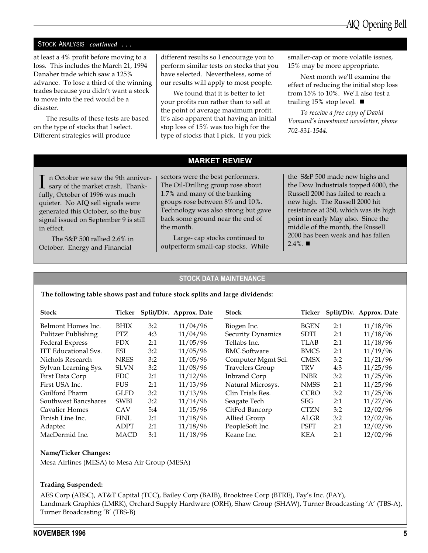#### STOCK ANALYSIS continued ...

at least a 4% profit before moving to a loss. This includes the March 21, 1994 Danaher trade which saw a 125% advance. To lose a third of the winning trades because you didn't want a stock to move into the red would be a disaster.

The results of these tests are based on the type of stocks that I select. Different strategies will produce

different results so I encourage you to perform similar tests on stocks that you have selected. Nevertheless, some of our results will apply to most people.

We found that it is better to let your profits run rather than to sell at the point of average maximum profit. It's also apparent that having an initial stop loss of 15% was too high for the type of stocks that I pick. If you pick

smaller-cap or more volatile issues, 15% may be more appropriate.

Next month we'll examine the effect of reducing the initial stop loss from 15% to 10%. We'll also test a trailing 15% stop level.  $\blacksquare$ 

To receive a free copy of David Vomund's investment newsletter, phone 702-831-1544.

#### MARKET REVIEW

In October we saw the 9th anniver-<br>sary of the market crash. Thankfully, October of 1996 was much quieter. No AIQ sell signals were generated this October, so the buy signal issued on September 9 is still in effect.

The S&P 500 rallied 2.6% in October. Energy and Financial

sectors were the best performers. The Oil-Drilling group rose about 1.7% and many of the banking groups rose between 8% and 10%. Technology was also strong but gave back some ground near the end of the month.

Large- cap stocks continued to outperform small-cap stocks. While the S&P 500 made new highs and the Dow Industrials topped 6000, the Russell 2000 has failed to reach a new high. The Russell 2000 hit resistance at 350, which was its high point in early May also. Since the middle of the month, the Russell 2000 has been weak and has fallen  $2.4\%$ . ■

#### STOCK DATA MAINTENANCE

#### The following table shows past and future stock splits and large dividends:

| <b>Stock</b>                | Ticker      |     | Split/Div. Approx. Date | <b>Stock</b>           | Ticker      |     | Split/Div. Approx. Date |
|-----------------------------|-------------|-----|-------------------------|------------------------|-------------|-----|-------------------------|
| Belmont Homes Inc.          | <b>BHIX</b> | 3:2 | 11/04/96                | Biogen Inc.            | <b>BGEN</b> | 2:1 | 11/18/96                |
| Pulitzer Publishing         | PTZ.        | 4:3 | 11/04/96                | Security Dynamics      | <b>SDTI</b> | 2:1 | 11/18/96                |
| Federal Express             | <b>FDX</b>  | 2:1 | 11/05/96                | Tellabs Inc.           | TLAB        | 2:1 | 11/18/96                |
| <b>ITT Educational Sys.</b> | ESI         | 3:2 | 11/05/96                | <b>BMC Software</b>    | <b>BMCS</b> | 2:1 | 11/19/96                |
| Nichols Research            | <b>NRES</b> | 3:2 | 11/05/96                | Computer Mgmt Sci.     | <b>CMSX</b> | 3:2 | 11/21/96                |
| Sylvan Learning Sys.        | <b>SLVN</b> | 3:2 | 11/08/96                | <b>Travelers Group</b> | TRV         | 4:3 | 11/25/96                |
| First Data Corp             | FDC         | 2:1 | 11/12/96                | Inbrand Corp           | <b>INBR</b> | 3:2 | 11/25/96                |
| First USA Inc.              | <b>FUS</b>  | 2:1 | 11/13/96                | Natural Microsys.      | <b>NMSS</b> | 2:1 | 11/25/96                |
| Guilford Pharm              | <b>GLFD</b> | 3:2 | 11/13/96                | Clin Trials Res.       | <b>CCRO</b> | 3:2 | 11/25/96                |
| Southwest Bancshares        | <b>SWBI</b> | 3:2 | 11/14/96                | Seagate Tech           | <b>SEG</b>  | 2:1 | 11/27/96                |
| Cavalier Homes              | <b>CAV</b>  | 5:4 | 11/15/96                | CitFed Bancorp         | <b>CTZN</b> | 3:2 | 12/02/96                |
| Finish Line Inc.            | <b>FINL</b> | 2:1 | 11/18/96                | Allied Group           | ALGR        | 3:2 | 12/02/96                |
| Adaptec                     | <b>ADPT</b> | 2:1 | 11/18/96                | PeopleSoft Inc.        | <b>PSFT</b> | 2:1 | 12/02/96                |
| MacDermid Inc.              | <b>MACD</b> | 3:1 | 11/18/96                | Keane Inc.             | KEA         | 2:1 | 12/02/96                |

#### Name/Ticker Changes:

Mesa Airlines (MESA) to Mesa Air Group (MESA)

#### Trading Suspended:

AES Corp (AESC), AT&T Capital (TCC), Bailey Corp (BAIB), Brooktree Corp (BTRE), Fays Inc. (FAY), Landmark Graphics (LMRK), Orchard Supply Hardware (ORH), Shaw Group (SHAW), Turner Broadcasting 'A' (TBS-A), Turner Broadcasting 'B' (TBS-B)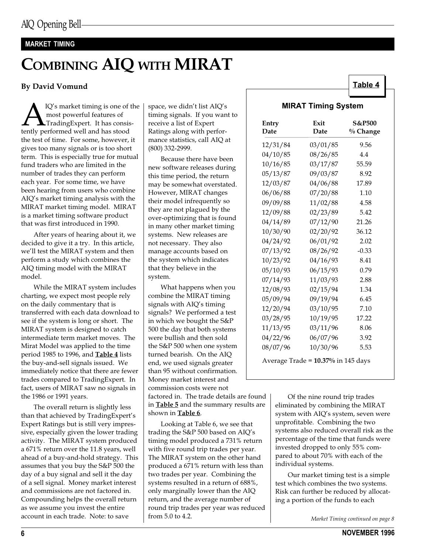#### MARKET TIMING

# COMBINING AIQ WITH MIRAT

#### By David Vomund

**A** IQ's market timing is one of the<br>most powerful features of<br>tently performed well and has stood most powerful features of TradingExpert. It has consisthe test of time. For some, however, it gives too many signals or is too short term. This is especially true for mutual fund traders who are limited in the number of trades they can perform each year. For some time, we have been hearing from users who combine AIQ's market timing analysis with the MIRAT market timing model. MIRAT is a market timing software product that was first introduced in 1990.

After years of hearing about it, we decided to give it a try. In this article, we'll test the MIRAT system and then perform a study which combines the AIQ timing model with the MIRAT model.

While the MIRAT system includes charting, we expect most people rely on the daily commentary that is transferred with each data download to see if the system is long or short. The MIRAT system is designed to catch intermediate term market moves. The Mirat Model was applied to the time period 1985 to 1996, and **Table 4** lists the buy-and-sell signals issued. We immediately notice that there are fewer trades compared to TradingExpert. In fact, users of MIRAT saw no signals in the 1986 or 1991 years.

The overall return is slightly less than that achieved by TradingExpert's Expert Ratings but is still very impressive, especially given the lower trading activity. The MIRAT system produced a 671% return over the 11.8 years, well ahead of a buy-and-hold strategy. This assumes that you buy the S&P 500 the day of a buy signal and sell it the day of a sell signal. Money market interest and commissions are not factored in. Compounding helps the overall return as we assume you invest the entire account in each trade. Note: to save

space, we didn't list AIQ's timing signals. If you want to receive a list of Expert Ratings along with performance statistics, call AIQ at (800) 332-2999.

Because there have been new software releases during this time period, the return may be somewhat overstated. However, MIRAT changes their model infrequently so they are not plagued by the over-optimizing that is found in many other market timing systems. New releases are not necessary. They also manage accounts based on the system which indicates that they believe in the system.

What happens when you combine the MIRAT timing signals with AIQ's timing signals? We performed a test in which we bought the S&P 500 the day that both systems were bullish and then sold the S&P 500 when one system turned bearish. On the AIQ end, we used signals greater than 95 without confirmation. Money market interest and commission costs were not

factored in. The trade details are found in **Table 5** and the summary results are shown in Table 6.

Looking at Table 6, we see that trading the S&P 500 based on AIQ's timing model produced a 731% return with five round trip trades per year. The MIRAT system on the other hand produced a 671% return with less than two trades per year. Combining the systems resulted in a return of 688%, only marginally lower than the AIQ return, and the average number of round trip trades per year was reduced from 5.0 to 4.2.

#### MIRAT Timing System

Table 4

| Entry<br>Date                      | Exit<br>Date | <b>S&amp;P500</b><br>% Change |  |  |  |  |  |
|------------------------------------|--------------|-------------------------------|--|--|--|--|--|
| 12/31/84                           | 03/01/85     | 9.56                          |  |  |  |  |  |
| 04/10/85                           | 08/26/85     | 4.4                           |  |  |  |  |  |
| 10/16/85                           | 03/17/87     | 55.59                         |  |  |  |  |  |
| 05/13/87                           | 09/03/87     | 8.92                          |  |  |  |  |  |
| 12/03/87                           | 04/06/88     | 17.89                         |  |  |  |  |  |
| 06/06/88                           | 07/20/88     | 1.10                          |  |  |  |  |  |
| 09/09/88                           | 11/02/88     | 4.58                          |  |  |  |  |  |
| 12/09/88                           | 02/23/89     | 5.42                          |  |  |  |  |  |
| 04/14/89                           | 07/12/90     | 21.26                         |  |  |  |  |  |
| 10/30/90                           | 02/20/92     | 36.12                         |  |  |  |  |  |
| 04/24/92                           | 06/01/92     | 2.02                          |  |  |  |  |  |
| 07/13/92                           | 08/26/92     | $-0.33$                       |  |  |  |  |  |
| 10/23/92                           | 04/16/93     | 8.41                          |  |  |  |  |  |
| 05/10/93                           | 06/15/93     | 0.79                          |  |  |  |  |  |
| 07/14/93                           | 11/03/93     | 2.88                          |  |  |  |  |  |
| 12/08/93                           | 02/15/94     | 1.34                          |  |  |  |  |  |
| 05/09/94                           | 09/19/94     | 6.45                          |  |  |  |  |  |
| 12/20/94                           | 03/10/95     | 7.10                          |  |  |  |  |  |
| 03/28/95                           | 10/19/95     | 17.22                         |  |  |  |  |  |
| 11/13/95                           | 03/11/96     | 8.06                          |  |  |  |  |  |
| 04/22/96                           | 06/07/96     | 3.92                          |  |  |  |  |  |
| 08/07/96                           | 10/30/96     | 5.53                          |  |  |  |  |  |
| Average Trade = 10.37% in 145 days |              |                               |  |  |  |  |  |

Of the nine round trip trades eliminated by combining the MIRAT system with AIQ's system, seven were unprofitable. Combining the two systems also reduced overall risk as the percentage of the time that funds were invested dropped to only 55% compared to about 70% with each of the individual systems.

Our market timing test is a simple test which combines the two systems. Risk can further be reduced by allocating a portion of the funds to each

Market Timing continued on page 8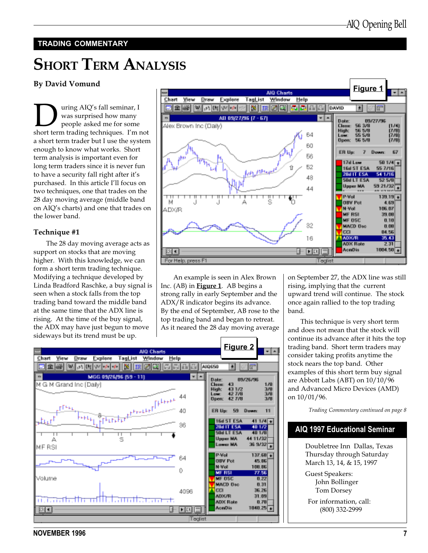#### TRADING COMMENTARY

# **SHORT TERM ANALYSIS**

#### By David Vomund

**DURICAN SET SET SAID** was surprised how many people asked me for some short term trading techniques. I'm not was surprised how many people asked me for some a short term trader but I use the system enough to know what works. Short term analysis is important even for long term traders since it is never fun to have a security fall right after it's purchased. In this article I'll focus on two techniques, one that trades on the 28 day moving average (middle band on AIQ's charts) and one that trades on the lower band.

#### Technique #1

The 28 day moving average acts as support on stocks that are moving higher. With this knowledge, we can form a short term trading technique. Modifying a technique developed by Linda Bradford Raschke, a buy signal is seen when a stock falls from the top trading band toward the middle band at the same time that the ADX line is rising. At the time of the buy signal, the ADX may have just begun to move sideways but its trend must be up.



An example is seen in Alex Brown Inc. (AB) in **Figure 1**. AB begins a strong rally in early September and the ADX/R indicator begins its advance. By the end of September, AB rose to the top trading band and began to retreat. As it neared the 28 day moving average

on September 27, the ADX line was still rising, implying that the current upward trend will continue. The stock once again rallied to the top trading band.

This technique is very short term and does not mean that the stock will continue its advance after it hits the top trading band. Short term traders may consider taking profits anytime the stock nears the top band. Other examples of this short term buy signal are Abbott Labs (ABT) on 10/10/96 and Advanced Micro Devices (AMD) on 10/01/96.

Trading Commentary continued on page 8

### AIQ 1997 Educational Seminar

Doubletree Inn Dallas, Texas Thursday through Saturday March 13, 14, & 15, 1997

Guest Speakers: John Bollinger Tom Dorsey

For information, call: (800) 332-2999



NOVEMBER 1996 7